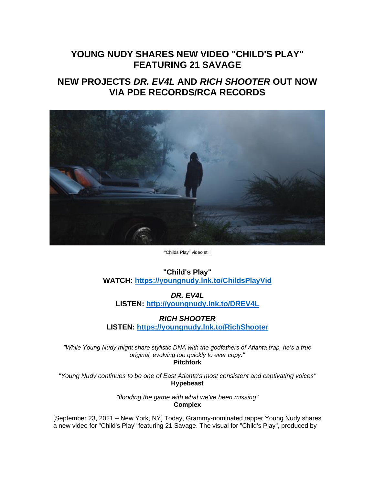## **YOUNG NUDY SHARES NEW VIDEO "CHILD'S PLAY" FEATURING 21 SAVAGE**

## **NEW PROJECTS** *DR. EV4L* **AND** *RICH SHOOTER* **OUT NOW VIA PDE RECORDS/RCA RECORDS**



"Childs Play" video still

## **"Child's Play" WATCH: [https://youngnudy.lnk.to/ChildsPlayVid](https://eur01.safelinks.protection.outlook.com/?url=https%3A%2F%2Fyoungnudy.lnk.to%2FChildsPlayVid&data=04%7C01%7Cnicole.garcia.sme%40sonymusic.com%7C606a8c2d99df4f25b30a08d97eae6083%7Cf0aff3b791a54aaeaf71c63e1dda2049%7C0%7C0%7C637680109766054823%7CUnknown%7CTWFpbGZsb3d8eyJWIjoiMC4wLjAwMDAiLCJQIjoiV2luMzIiLCJBTiI6Ik1haWwiLCJXVCI6Mn0%3D%7C1000&sdata=nUF%2BKRyVF59J8q1G6t%2BtnD1SSNjJlashmaoWltWjHlg%3D&reserved=0)**

*DR. EV4L* **LISTEN: [http://youngnudy.lnk.to/DREV4L](https://eur01.safelinks.protection.outlook.com/?url=http%3A%2F%2Fyoungnudy.lnk.to%2FDREV4L&data=04%7C01%7Cnicole.garcia.sme%40sonymusic.com%7C606a8c2d99df4f25b30a08d97eae6083%7Cf0aff3b791a54aaeaf71c63e1dda2049%7C0%7C0%7C637680109766054823%7CUnknown%7CTWFpbGZsb3d8eyJWIjoiMC4wLjAwMDAiLCJQIjoiV2luMzIiLCJBTiI6Ik1haWwiLCJXVCI6Mn0%3D%7C1000&sdata=3Nu%2Blaka3od5eVN2eAbLHERVxwnM0Encs4HMJ4rFRoM%3D&reserved=0)**

## *RICH SHOOTER*

**LISTEN: [https://youngnudy.lnk.to/RichShooter](https://eur01.safelinks.protection.outlook.com/?url=https%3A%2F%2Fyoungnudy.lnk.to%2FRichShooter&data=04%7C01%7Cnicole.garcia.sme%40sonymusic.com%7C606a8c2d99df4f25b30a08d97eae6083%7Cf0aff3b791a54aaeaf71c63e1dda2049%7C0%7C0%7C637680109766064778%7CUnknown%7CTWFpbGZsb3d8eyJWIjoiMC4wLjAwMDAiLCJQIjoiV2luMzIiLCJBTiI6Ik1haWwiLCJXVCI6Mn0%3D%7C1000&sdata=IK%2Fn3XZZdjTWS3enGsZCGwaHp1H82kUm%2FWA2DQhfEiQ%3D&reserved=0)**

*"While Young Nudy might share stylistic DNA with the godfathers of Atlanta trap, he's a true original, evolving too quickly to ever copy."* **Pitchfork**

*"Young Nudy continues to be one of East Atlanta's most consistent and captivating voices"* **Hypebeast**

> *"flooding the game with what we've been missing"* **Complex**

[September 23, 2021 – New York, NY] Today, Grammy-nominated rapper Young Nudy shares a new video for "Child's Play" featuring 21 Savage. The visual for "Child's Play", produced by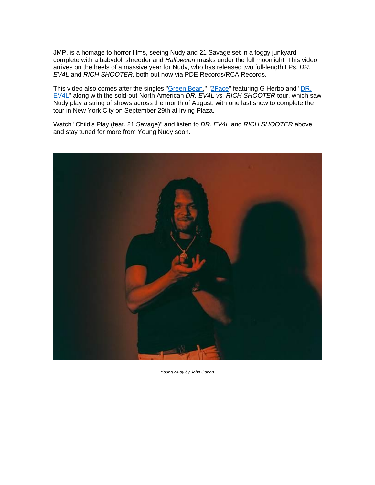JMP, is a homage to horror films, seeing Nudy and 21 Savage set in a foggy junkyard complete with a babydoll shredder and *Halloween* masks under the full moonlight. This video arrives on the heels of a massive year for Nudy, who has released two full-length LPs, *DR. EV4L* and *RICH SHOOTER,* both out now via PDE Records/RCA Records.

This video also comes after the singles ["Green Bean,](https://eur01.safelinks.protection.outlook.com/?url=https%3A%2F%2Fyoutu.be%2F7HLQ15aP2JU&data=04%7C01%7Cnicole.garcia.sme%40sonymusic.com%7C606a8c2d99df4f25b30a08d97eae6083%7Cf0aff3b791a54aaeaf71c63e1dda2049%7C0%7C0%7C637680109766064778%7CUnknown%7CTWFpbGZsb3d8eyJWIjoiMC4wLjAwMDAiLCJQIjoiV2luMzIiLCJBTiI6Ik1haWwiLCJXVCI6Mn0%3D%7C1000&sdata=uVL54pD1CWoLfHyh8TSS1%2BtI2QSjT13DLE%2FYeJqsTSc%3D&reserved=0)" ["2Face"](https://eur01.safelinks.protection.outlook.com/?url=https%3A%2F%2Fyoutu.be%2FTlpdIsYEcAg&data=04%7C01%7Cnicole.garcia.sme%40sonymusic.com%7C606a8c2d99df4f25b30a08d97eae6083%7Cf0aff3b791a54aaeaf71c63e1dda2049%7C0%7C0%7C637680109766074735%7CUnknown%7CTWFpbGZsb3d8eyJWIjoiMC4wLjAwMDAiLCJQIjoiV2luMzIiLCJBTiI6Ik1haWwiLCJXVCI6Mn0%3D%7C1000&sdata=jb%2FtUbsV7J5kiYbmH5dR4X4dQMKHbila%2FGCOQSTRrEk%3D&reserved=0) featuring G Herbo and ["DR.](https://eur01.safelinks.protection.outlook.com/?url=https%3A%2F%2Fyoutu.be%2FpqRqi-t2DGU&data=04%7C01%7Cnicole.garcia.sme%40sonymusic.com%7C606a8c2d99df4f25b30a08d97eae6083%7Cf0aff3b791a54aaeaf71c63e1dda2049%7C0%7C0%7C637680109766074735%7CUnknown%7CTWFpbGZsb3d8eyJWIjoiMC4wLjAwMDAiLCJQIjoiV2luMzIiLCJBTiI6Ik1haWwiLCJXVCI6Mn0%3D%7C1000&sdata=L8GRm89z%2BwUlTGyHIbCsZJn%2B6FDazjcsUZfRn1h4OM8%3D&reserved=0)  [EV4L"](https://eur01.safelinks.protection.outlook.com/?url=https%3A%2F%2Fyoutu.be%2FpqRqi-t2DGU&data=04%7C01%7Cnicole.garcia.sme%40sonymusic.com%7C606a8c2d99df4f25b30a08d97eae6083%7Cf0aff3b791a54aaeaf71c63e1dda2049%7C0%7C0%7C637680109766074735%7CUnknown%7CTWFpbGZsb3d8eyJWIjoiMC4wLjAwMDAiLCJQIjoiV2luMzIiLCJBTiI6Ik1haWwiLCJXVCI6Mn0%3D%7C1000&sdata=L8GRm89z%2BwUlTGyHIbCsZJn%2B6FDazjcsUZfRn1h4OM8%3D&reserved=0) along with the sold-out North American *DR. EV4L vs. RICH SHOOTER* tour, which saw Nudy play a string of shows across the month of August, with one last show to complete the tour in New York City on September 29th at Irving Plaza.

Watch "Child's Play (feat. 21 Savage)" and listen to *DR. EV4L* and *RICH SHOOTER* above and stay tuned for more from Young Nudy soon.



*Young Nudy by John Canon*